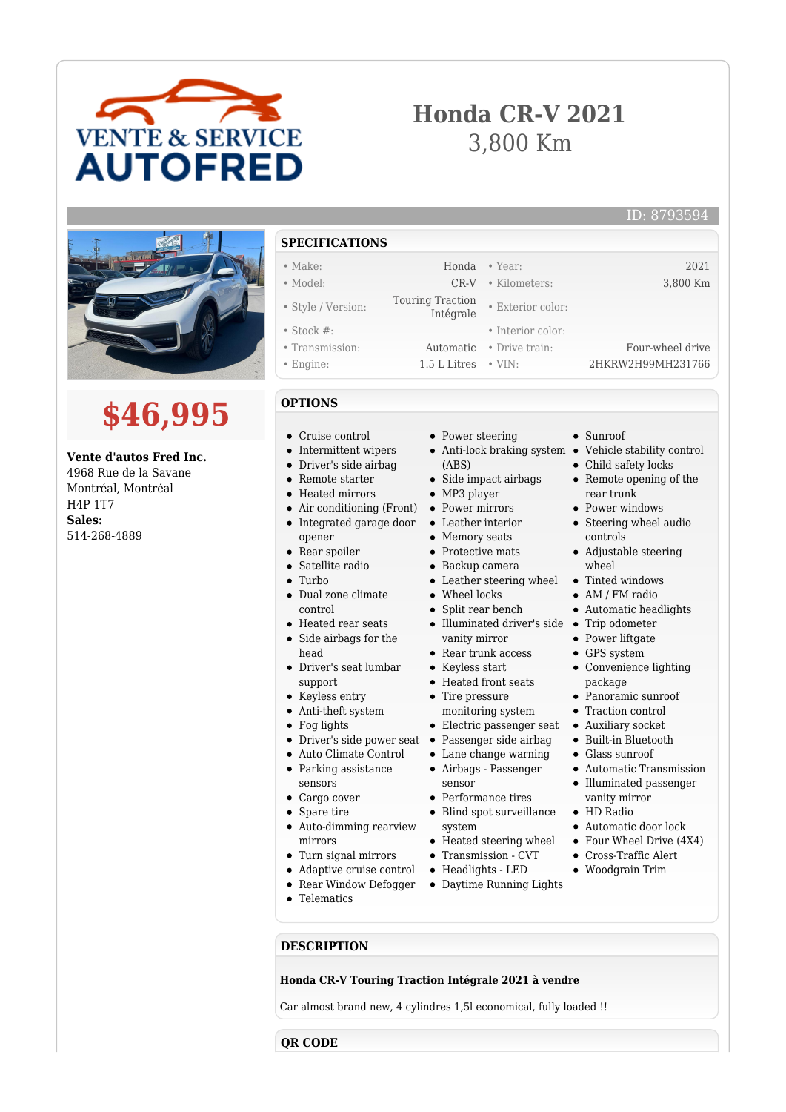

# **Honda CR-V 2021** 3,800 Km

• Exterior color:

• Sunroof

Child safety locks • Remote opening of the

Adjustable steering

rear trunk • Power windows • Steering wheel audio

controls

wheel

• AM / FM radio Automatic headlights

• Power liftgate • GPS system

package Panoramic sunroof Traction control Auxiliary socket Built-in Bluetooth Glass sunroof

Convenience lighting

Automatic Transmission Illuminated passenger vanity mirror HD Radio

Automatic door lock

## ID: 8793594





## **Vente d'autos Fred Inc.**

4968 Rue de la Savane Montréal, Montréal H4P 1T7 **Sales:** 514-268-4889

## **SPECIFICATIONS**

- 
- 
- Style / Version: Touring Traction
- 
- 
- 
- **OPTIONS**
- Cruise control
- $\bullet$  Intermittent wipers
- Driver's side airbag
- Remote starter
- Heated mirrors
- Air conditioning (Front) Power mirrors
- Integrated garage door
- opener
- Rear spoiler
- Satellite radio  $\bullet$  Turbo
- 
- Dual zone climate control
- Heated rear seats
- Side airbags for the head
- Driver's seat lumbar support
- Keyless entry
- Anti-theft system
- Fog lights
- 
- Auto Climate Control
- Parking assistance
- sensors
- Cargo cover
- Spare tire
- Auto-dimming rearview mirrors
- Turn signal mirrors
- Adaptive cruise control
- Rear Window Defogger
- Telematics
- Power steering
- Anti-lock braking system Vehicle stability control (ABS)
- Side impact airbags
- MP3 player
- 
- Leather interior
- Memory seats
- Protective mats
- Backup camera
- Leather steering wheel Tinted windows
- Wheel locks
- Split rear bench
- Illuminated driver's side Trip odometer vanity mirror
- Rear trunk access
- Keyless start
- Heated front seats
- monitoring system
- Electric passenger seat
- Driver's side power seat Passenger side airbag
	- Lane change warning Airbags - Passenger
	- sensor
	- Performance tires
	- Blind spot surveillance system
	- Heated steering wheel
	- Transmission CVT
	- Headlights LED
	- Daytime Running Lights
- Four Wheel Drive (4X4) Cross-Traffic Alert Woodgrain Trim

**DESCRIPTION**

## **Honda CR-V Touring Traction Intégrale 2021 à vendre**

Car almost brand new, 4 cylindres 1,5l economical, fully loaded !!

**QR CODE**

- Make: Honda Year: 2021 • Model: CR-V • Kilometers: 3,800 Km
	-
- Stock #: Interior color:
- Transmission: Automatic Drive train: Four-wheel drive
- Engine: 1.5 L Litres VIN: 2HKRW2H99MH231766
	-
	-
	-
	-
	-
	-
	-
	-
	-
	-
	-
	-
	- -
		-
	-
	- Tire pressure
	-